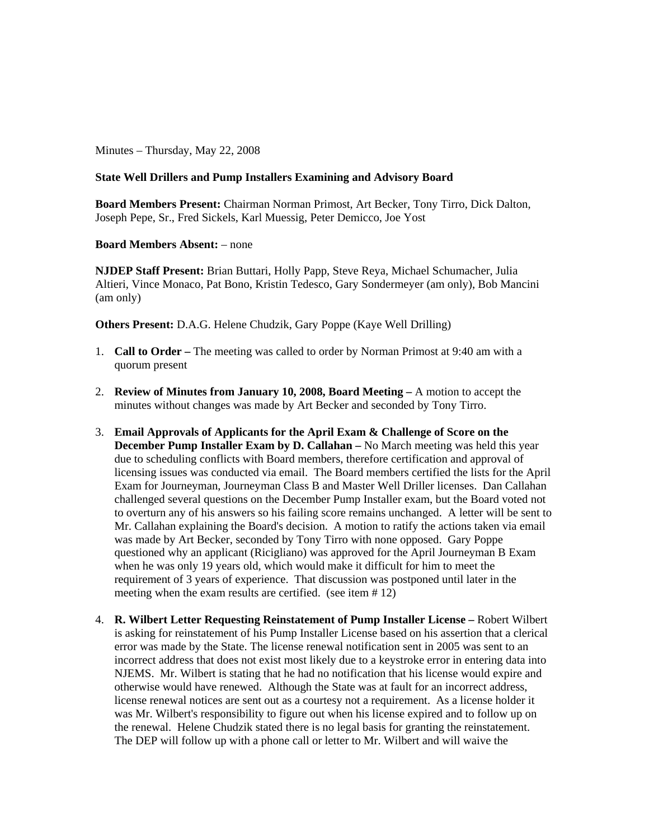Minutes – Thursday, May 22, 2008

## **State Well Drillers and Pump Installers Examining and Advisory Board**

**Board Members Present:** Chairman Norman Primost, Art Becker, Tony Tirro, Dick Dalton, Joseph Pepe, Sr., Fred Sickels, Karl Muessig, Peter Demicco, Joe Yost

## **Board Members Absent:** – none

**NJDEP Staff Present:** Brian Buttari, Holly Papp, Steve Reya, Michael Schumacher, Julia Altieri, Vince Monaco, Pat Bono, Kristin Tedesco, Gary Sondermeyer (am only), Bob Mancini (am only)

**Others Present:** D.A.G. Helene Chudzik, Gary Poppe (Kaye Well Drilling)

- 1. **Call to Order** The meeting was called to order by Norman Primost at 9:40 am with a quorum present
- 2. **Review of Minutes from January 10, 2008, Board Meeting –** A motion to accept the minutes without changes was made by Art Becker and seconded by Tony Tirro.
- 3. **Email Approvals of Applicants for the April Exam & Challenge of Score on the December Pump Installer Exam by D. Callahan** – No March meeting was held this year due to scheduling conflicts with Board members, therefore certification and approval of licensing issues was conducted via email. The Board members certified the lists for the April Exam for Journeyman, Journeyman Class B and Master Well Driller licenses. Dan Callahan challenged several questions on the December Pump Installer exam, but the Board voted not to overturn any of his answers so his failing score remains unchanged. A letter will be sent to Mr. Callahan explaining the Board's decision. A motion to ratify the actions taken via email was made by Art Becker, seconded by Tony Tirro with none opposed. Gary Poppe questioned why an applicant (Ricigliano) was approved for the April Journeyman B Exam when he was only 19 years old, which would make it difficult for him to meet the requirement of 3 years of experience. That discussion was postponed until later in the meeting when the exam results are certified. (see item # 12)
- 4. **R. Wilbert Letter Requesting Reinstatement of Pump Installer License –** Robert Wilbert is asking for reinstatement of his Pump Installer License based on his assertion that a clerical error was made by the State. The license renewal notification sent in 2005 was sent to an incorrect address that does not exist most likely due to a keystroke error in entering data into NJEMS. Mr. Wilbert is stating that he had no notification that his license would expire and otherwise would have renewed. Although the State was at fault for an incorrect address, license renewal notices are sent out as a courtesy not a requirement. As a license holder it was Mr. Wilbert's responsibility to figure out when his license expired and to follow up on the renewal. Helene Chudzik stated there is no legal basis for granting the reinstatement. The DEP will follow up with a phone call or letter to Mr. Wilbert and will waive the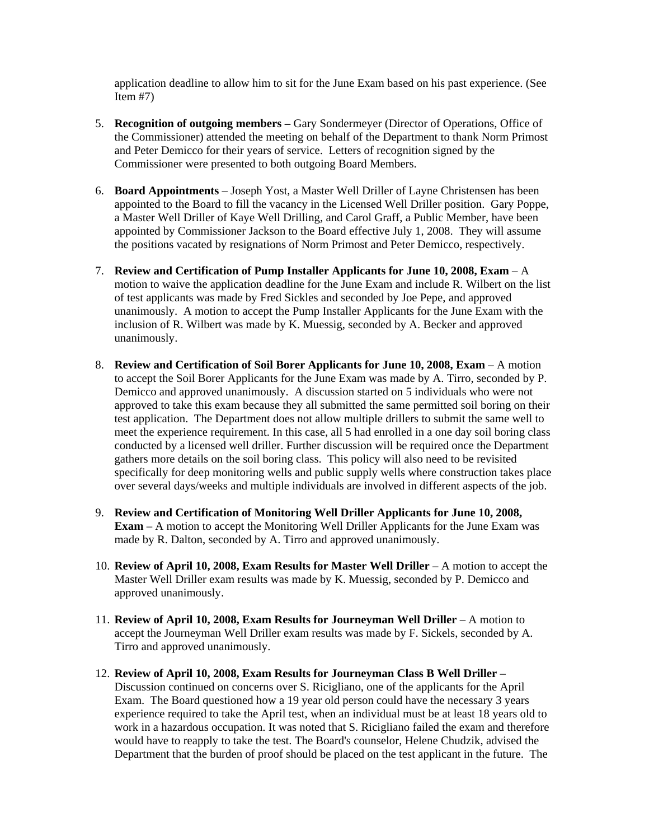application deadline to allow him to sit for the June Exam based on his past experience. (See Item #7)

- 5. **Recognition of outgoing members –** Gary Sondermeyer (Director of Operations, Office of the Commissioner) attended the meeting on behalf of the Department to thank Norm Primost and Peter Demicco for their years of service. Letters of recognition signed by the Commissioner were presented to both outgoing Board Members.
- 6. **Board Appointments** Joseph Yost, a Master Well Driller of Layne Christensen has been appointed to the Board to fill the vacancy in the Licensed Well Driller position. Gary Poppe, a Master Well Driller of Kaye Well Drilling, and Carol Graff, a Public Member, have been appointed by Commissioner Jackson to the Board effective July 1, 2008. They will assume the positions vacated by resignations of Norm Primost and Peter Demicco, respectively.
- 7. **Review and Certification of Pump Installer Applicants for June 10, 2008, Exam** A motion to waive the application deadline for the June Exam and include R. Wilbert on the list of test applicants was made by Fred Sickles and seconded by Joe Pepe, and approved unanimously. A motion to accept the Pump Installer Applicants for the June Exam with the inclusion of R. Wilbert was made by K. Muessig, seconded by A. Becker and approved unanimously.
- 8. **Review and Certification of Soil Borer Applicants for June 10, 2008, Exam** A motion to accept the Soil Borer Applicants for the June Exam was made by A. Tirro, seconded by P. Demicco and approved unanimously. A discussion started on 5 individuals who were not approved to take this exam because they all submitted the same permitted soil boring on their test application. The Department does not allow multiple drillers to submit the same well to meet the experience requirement. In this case, all 5 had enrolled in a one day soil boring class conducted by a licensed well driller. Further discussion will be required once the Department gathers more details on the soil boring class. This policy will also need to be revisited specifically for deep monitoring wells and public supply wells where construction takes place over several days/weeks and multiple individuals are involved in different aspects of the job.
- 9. **Review and Certification of Monitoring Well Driller Applicants for June 10, 2008, Exam** – A motion to accept the Monitoring Well Driller Applicants for the June Exam was made by R. Dalton, seconded by A. Tirro and approved unanimously.
- 10. **Review of April 10, 2008, Exam Results for Master Well Driller**  A motion to accept the Master Well Driller exam results was made by K. Muessig, seconded by P. Demicco and approved unanimously.
- 11. **Review of April 10, 2008, Exam Results for Journeyman Well Driller**  A motion to accept the Journeyman Well Driller exam results was made by F. Sickels, seconded by A. Tirro and approved unanimously.
- 12. **Review of April 10, 2008, Exam Results for Journeyman Class B Well Driller**  Discussion continued on concerns over S. Ricigliano, one of the applicants for the April Exam. The Board questioned how a 19 year old person could have the necessary 3 years experience required to take the April test, when an individual must be at least 18 years old to work in a hazardous occupation. It was noted that S. Ricigliano failed the exam and therefore would have to reapply to take the test. The Board's counselor, Helene Chudzik, advised the Department that the burden of proof should be placed on the test applicant in the future. The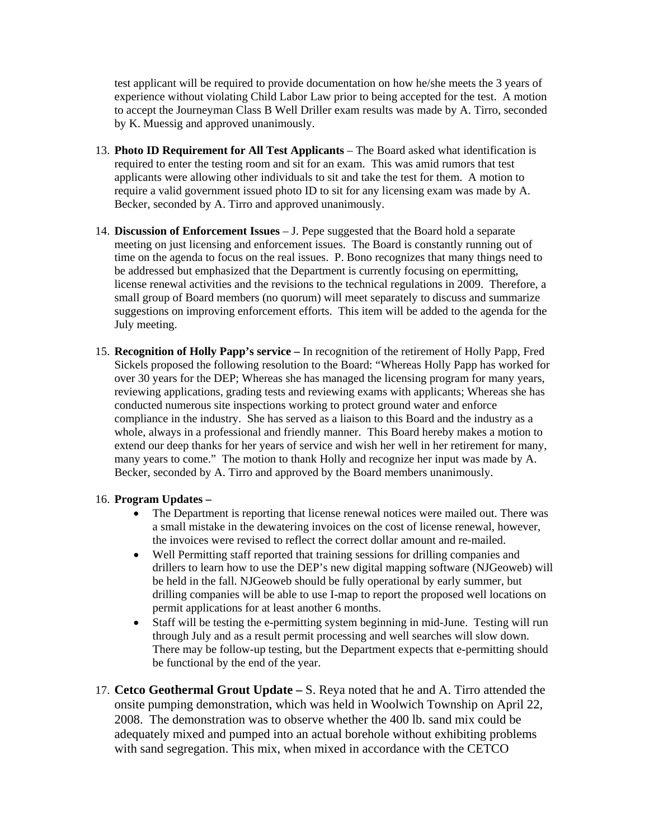test applicant will be required to provide documentation on how he/she meets the 3 years of experience without violating Child Labor Law prior to being accepted for the test. A motion to accept the Journeyman Class B Well Driller exam results was made by A. Tirro, seconded by K. Muessig and approved unanimously.

- 13. **Photo ID Requirement for All Test Applicants**  The Board asked what identification is required to enter the testing room and sit for an exam. This was amid rumors that test applicants were allowing other individuals to sit and take the test for them. A motion to require a valid government issued photo ID to sit for any licensing exam was made by A. Becker, seconded by A. Tirro and approved unanimously.
- 14. **Discussion of Enforcement Issues** J. Pepe suggested that the Board hold a separate meeting on just licensing and enforcement issues. The Board is constantly running out of time on the agenda to focus on the real issues. P. Bono recognizes that many things need to be addressed but emphasized that the Department is currently focusing on epermitting, license renewal activities and the revisions to the technical regulations in 2009. Therefore, a small group of Board members (no quorum) will meet separately to discuss and summarize suggestions on improving enforcement efforts. This item will be added to the agenda for the July meeting.
- 15. **Recognition of Holly Papp's service –** In recognition of the retirement of Holly Papp, Fred Sickels proposed the following resolution to the Board: "Whereas Holly Papp has worked for over 30 years for the DEP; Whereas she has managed the licensing program for many years, reviewing applications, grading tests and reviewing exams with applicants; Whereas she has conducted numerous site inspections working to protect ground water and enforce compliance in the industry. She has served as a liaison to this Board and the industry as a whole, always in a professional and friendly manner. This Board hereby makes a motion to extend our deep thanks for her years of service and wish her well in her retirement for many, many years to come." The motion to thank Holly and recognize her input was made by A. Becker, seconded by A. Tirro and approved by the Board members unanimously.

## 16. **Program Updates –**

- The Department is reporting that license renewal notices were mailed out. There was a small mistake in the dewatering invoices on the cost of license renewal, however, the invoices were revised to reflect the correct dollar amount and re-mailed.
- Well Permitting staff reported that training sessions for drilling companies and drillers to learn how to use the DEP's new digital mapping software (NJGeoweb) will be held in the fall. NJGeoweb should be fully operational by early summer, but drilling companies will be able to use I-map to report the proposed well locations on permit applications for at least another 6 months.
- Staff will be testing the e-permitting system beginning in mid-June. Testing will run through July and as a result permit processing and well searches will slow down. There may be follow-up testing, but the Department expects that e-permitting should be functional by the end of the year.
- 17. **Cetco Geothermal Grout Update –** S. Reya noted that he and A. Tirro attended the onsite pumping demonstration, which was held in Woolwich Township on April 22, 2008. The demonstration was to observe whether the 400 lb. sand mix could be adequately mixed and pumped into an actual borehole without exhibiting problems with sand segregation. This mix, when mixed in accordance with the CETCO